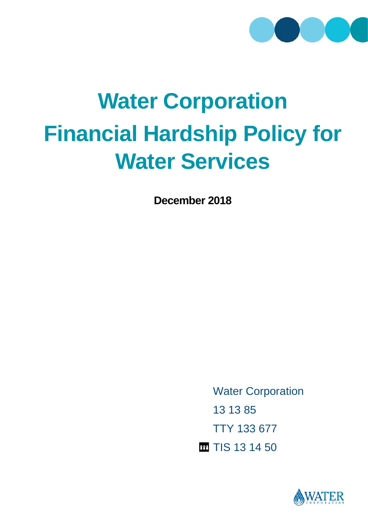

# **Water Corporation Financial Hardship Policy for Water Services**

**December 2018**

Water Corporation 13 13 85 TTY 133 677 m TIS 13 14 50

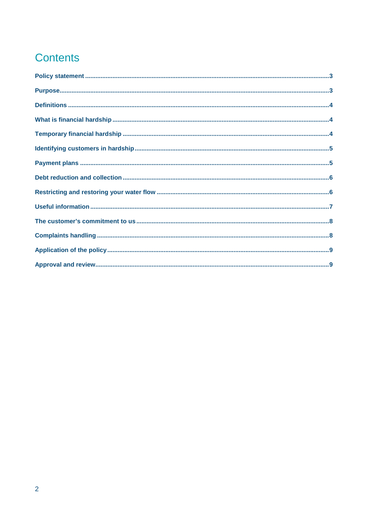## **Contents**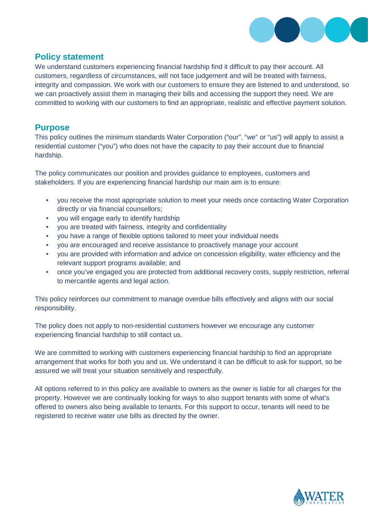

## **Policy statement**

We understand customers experiencing financial hardship find it difficult to pay their account. All customers, regardless of circumstances, will not face judgement and will be treated with fairness, integrity and compassion. We work with our customers to ensure they are listened to and understood, so we can proactively assist them in managing their bills and accessing the support they need. We are committed to working with our customers to find an appropriate, realistic and effective payment solution.

## **Purpose**

This policy outlines the minimum standards Water Corporation ("our", "we" or "us") will apply to assist a residential customer ("you") who does not have the capacity to pay their account due to financial hardship.

The policy communicates our position and provides guidance to employees, customers and stakeholders. If you are experiencing financial hardship our main aim is to ensure:

- you receive the most appropriate solution to meet your needs once contacting Water Corporation directly or via financial counsellors;
- you will engage early to identify hardship
- you are treated with fairness, integrity and confidentiality
- you have a range of flexible options tailored to meet your individual needs
- you are encouraged and receive assistance to proactively manage your account
- you are provided with information and advice on concession eligibility, water efficiency and the relevant support programs available; and
- once you've engaged you are protected from additional recovery costs, supply restriction, referral to mercantile agents and legal action.

This policy reinforces our commitment to manage overdue bills effectively and aligns with our social responsibility.

The policy does not apply to non-residential customers however we encourage any customer experiencing financial hardship to still contact us.

We are committed to working with customers experiencing financial hardship to find an appropriate arrangement that works for both you and us. We understand it can be difficult to ask for support, so be assured we will treat your situation sensitively and respectfully.

All options referred to in this policy are available to owners as the owner is liable for all charges for the property. However we are continually looking for ways to also support tenants with some of what's offered to owners also being available to tenants. For this support to occur, tenants will need to be registered to receive water use bills as directed by the owner.

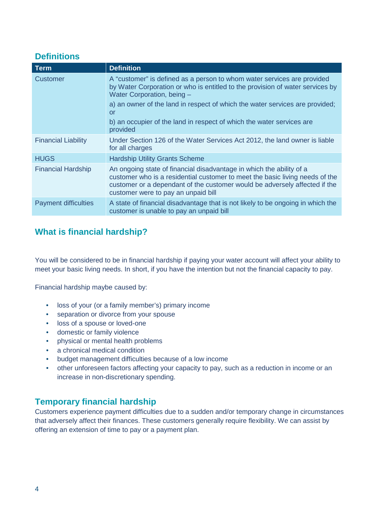## **Definitions**

| Term                        | <b>Definition</b>                                                                                                                                                                                                                                                         |
|-----------------------------|---------------------------------------------------------------------------------------------------------------------------------------------------------------------------------------------------------------------------------------------------------------------------|
| Customer                    | A "customer" is defined as a person to whom water services are provided<br>by Water Corporation or who is entitled to the provision of water services by<br>Water Corporation, being -                                                                                    |
|                             | a) an owner of the land in respect of which the water services are provided;<br><u>or</u>                                                                                                                                                                                 |
|                             | b) an occupier of the land in respect of which the water services are<br>provided                                                                                                                                                                                         |
| <b>Financial Liability</b>  | Under Section 126 of the Water Services Act 2012, the land owner is liable<br>for all charges                                                                                                                                                                             |
| <b>HUGS</b>                 | <b>Hardship Utility Grants Scheme</b>                                                                                                                                                                                                                                     |
| <b>Financial Hardship</b>   | An ongoing state of financial disadvantage in which the ability of a<br>customer who is a residential customer to meet the basic living needs of the<br>customer or a dependant of the customer would be adversely affected if the<br>customer were to pay an unpaid bill |
| <b>Payment difficulties</b> | A state of financial disadvantage that is not likely to be ongoing in which the<br>customer is unable to pay an unpaid bill                                                                                                                                               |

## **What is financial hardship?**

You will be considered to be in financial hardship if paying your water account will affect your ability to meet your basic living needs. In short, if you have the intention but not the financial capacity to pay.

Financial hardship maybe caused by:

- loss of your (or a family member's) primary income
- separation or divorce from your spouse
- loss of a spouse or loved-one
- domestic or family violence
- physical or mental health problems
- a chronical medical condition
- budget management difficulties because of a low income
- other unforeseen factors affecting your capacity to pay, such as a reduction in income or an increase in non-discretionary spending.

## **Temporary financial hardship**

Customers experience payment difficulties due to a sudden and/or temporary change in circumstances that adversely affect their finances. These customers generally require flexibility. We can assist by offering an extension of time to pay or a payment plan.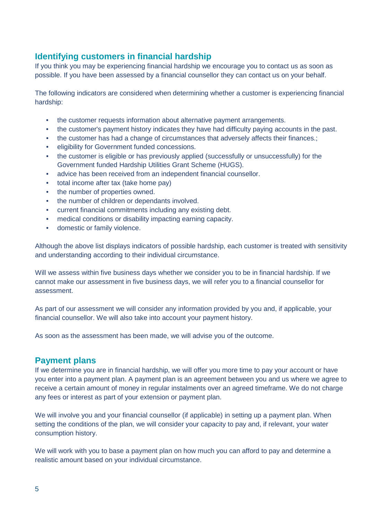## **Identifying customers in financial hardship**

If you think you may be experiencing financial hardship we encourage you to contact us as soon as possible. If you have been assessed by a financial counsellor they can contact us on your behalf.

The following indicators are considered when determining whether a customer is experiencing financial hardship:

- the customer requests information about alternative payment arrangements.
- the customer's payment history indicates they have had difficulty paying accounts in the past.
- the customer has had a change of circumstances that adversely affects their finances.;
- eligibility for Government funded concessions.
- the customer is eligible or has previously applied (successfully or unsuccessfully) for the Government funded Hardship Utilities Grant Scheme (HUGS).
- advice has been received from an independent financial counsellor.
- total income after tax (take home pay)
- the number of properties owned.
- the number of children or dependants involved.
- current financial commitments including any existing debt.
- medical conditions or disability impacting earning capacity.
- domestic or family violence.

Although the above list displays indicators of possible hardship, each customer is treated with sensitivity and understanding according to their individual circumstance.

Will we assess within five business days whether we consider you to be in financial hardship. If we cannot make our assessment in five business days, we will refer you to a financial counsellor for assessment.

As part of our assessment we will consider any information provided by you and, if applicable, your financial counsellor. We will also take into account your payment history.

As soon as the assessment has been made, we will advise you of the outcome.

## **Payment plans**

If we determine you are in financial hardship, we will offer you more time to pay your account or have you enter into a payment plan. A payment plan is an agreement between you and us where we agree to receive a certain amount of money in regular instalments over an agreed timeframe. We do not charge any fees or interest as part of your extension or payment plan.

We will involve you and your financial counsellor (if applicable) in setting up a payment plan. When setting the conditions of the plan, we will consider your capacity to pay and, if relevant, your water consumption history.

We will work with you to base a payment plan on how much you can afford to pay and determine a realistic amount based on your individual circumstance.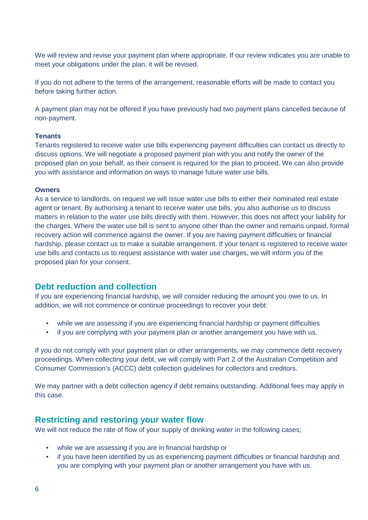We will review and revise your payment plan where appropriate. If our review indicates you are unable to meet your obligations under the plan, it will be revised.

If you do not adhere to the terms of the arrangement, reasonable efforts will be made to contact you before taking further action.

A payment plan may not be offered if you have previously had two payment plans cancelled because of non-payment.

#### **Tenants**

Tenants registered to receive water use bills experiencing payment difficulties can contact us directly to discuss options. We will negotiate a proposed payment plan with you and notify the owner of the proposed plan on your behalf, as their consent is required for the plan to proceed. We can also provide you with assistance and information on ways to manage future water use bills.

#### **Owners**

As a service to landlords, on request we will issue water use bills to either their nominated real estate agent or tenant. By authorising a tenant to receive water use bills, you also authorise us to discuss matters in relation to the water use bills directly with them. However, this does not affect your liability for the charges. Where the water use bill is sent to anyone other than the owner and remains unpaid, formal recovery action will commence against the owner. If you are having payment difficulties or financial hardship, please contact us to make a suitable arrangement. If your tenant is registered to receive water use bills and contacts us to request assistance with water use charges, we will inform you of the proposed plan for your consent.

## **Debt reduction and collection**

If you are experiencing financial hardship, we will consider reducing the amount you owe to us. In addition, we will not commence or continue proceedings to recover your debt:

- while we are assessing if you are experiencing financial hardship or payment difficulties
- if you are complying with your payment plan or another arrangement you have with us.

If you do not comply with your payment plan or other arrangements, we may commence debt recovery proceedings. When collecting your debt, we will comply with Part 2 of the Australian Competition and Consumer Commission's (ACCC) debt collection guidelines for collectors and creditors.

We may partner with a debt collection agency if debt remains outstanding. Additional fees may apply in this case.

#### **Restricting and restoring your water flow**

We will not reduce the rate of flow of your supply of drinking water in the following cases;

- while we are assessing if you are in financial hardship or
- if you have been identified by us as experiencing payment difficulties or financial hardship and you are complying with your payment plan or another arrangement you have with us.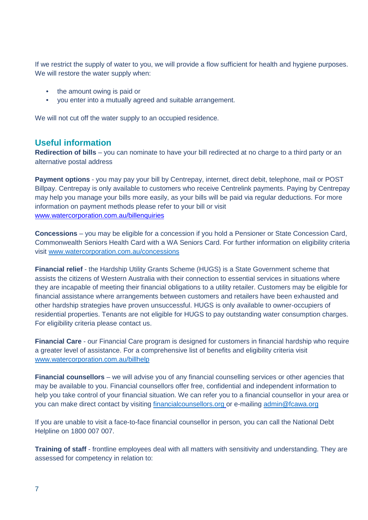If we restrict the supply of water to you, we will provide a flow sufficient for health and hygiene purposes. We will restore the water supply when:

- the amount owing is paid or
- you enter into a mutually agreed and suitable arrangement.

We will not cut off the water supply to an occupied residence.

## **Useful information**

**Redirection of bills** – you can nominate to have your bill redirected at no charge to a third party or an alternative postal address

**Payment options** - you may pay your bill by Centrepay, internet, direct debit, telephone, mail or POST Billpay. Centrepay is only available to customers who receive Centrelink payments. Paying by Centrepay may help you manage your bills more easily, as your bills will be paid via regular deductions. For more information on payment methods please refer to your bill or visit [www.watercorporation.com.au/billenquiries](http://www.watercorporation.com.au/billenquiries)

**Concessions** – you may be eligible for a concession if you hold a Pensioner or State Concession Card, Commonwealth Seniors Health Card with a WA Seniors Card. For further information on eligibility criteria visit [www.watercorporation.com.au/concessions](http://www.watercorporation.com.au/concessions)

**Financial relief** - the Hardship Utility Grants Scheme (HUGS) is a State Government scheme that assists the citizens of Western Australia with their connection to essential services in situations where they are incapable of meeting their financial obligations to a utility retailer. Customers may be eligible for financial assistance where arrangements between customers and retailers have been exhausted and other hardship strategies have proven unsuccessful. HUGS is only available to owner-occupiers of residential properties. Tenants are not eligible for HUGS to pay outstanding water consumption charges. For eligibility criteria please contact us.

**Financial Care** - our Financial Care program is designed for customers in financial hardship who require a greater level of assistance. For a comprehensive list of benefits and eligibility criteria visit [www.watercorporation.com.au/billhelp](http://www.watercorporation.com.au/billhelp)

**Financial counsellors** – we will advise you of any financial counselling services or other agencies that may be available to you. Financial counsellors offer free, confidential and independent information to help you take control of your financial situation. We can refer you to a financial counsellor in your area or you can make direct contact by visiting [financialcounsellors.org](http://www.financialcounsellors.org/) or e-mailing [admin@fcawa.org](mailto:admin@fcawa.org)

If you are unable to visit a face-to-face financial counsellor in person, you can call the National Debt Helpline on 1800 007 007.

**Training of staff** - frontline employees deal with all matters with sensitivity and understanding. They are assessed for competency in relation to: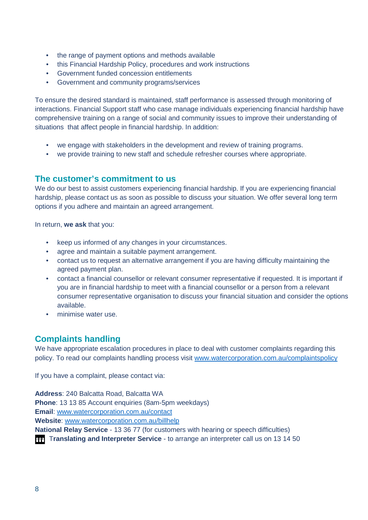- the range of payment options and methods available
- this Financial Hardship Policy, procedures and work instructions
- Government funded concession entitlements
- Government and community programs/services

To ensure the desired standard is maintained, staff performance is assessed through monitoring of interactions. Financial Support staff who case manage individuals experiencing financial hardship have comprehensive training on a range of social and community issues to improve their understanding of situations that affect people in financial hardship. In addition:

- we engage with stakeholders in the development and review of training programs.
- we provide training to new staff and schedule refresher courses where appropriate.

## **The customer's commitment to us**

We do our best to assist customers experiencing financial hardship. If you are experiencing financial hardship, please contact us as soon as possible to discuss your situation. We offer several long term options if you adhere and maintain an agreed arrangement.

In return, **we ask** that you:

- keep us informed of any changes in your circumstances.
- agree and maintain a suitable payment arrangement.
- contact us to request an alternative arrangement if you are having difficulty maintaining the agreed payment plan.
- contact a financial counsellor or relevant consumer representative if requested. It is important if you are in financial hardship to meet with a financial counsellor or a person from a relevant consumer representative organisation to discuss your financial situation and consider the options available.
- minimise water use.

## **Complaints handling**

We have appropriate escalation procedures in place to deal with customer complaints regarding this policy. To read our complaints handling process visit [www.watercorporation.com.au/complaintspolicy](http://www.watercorporation.com.au/complaintspolicy)

If you have a complaint, please contact via:

**Address**: 240 Balcatta Road, Balcatta WA **Phone**: 13 13 85 Account enquiries (8am-5pm weekdays) **Email**: [www.watercorporation.com.au/contact](http://www.watercorporation.com.au/contact) **Website**: [www.watercorporation.com.au/billhelp](http://www.watercorporation.com.au/billhelp) **National Relay Service** - 13 36 77 (for customers with hearing or speech difficulties)